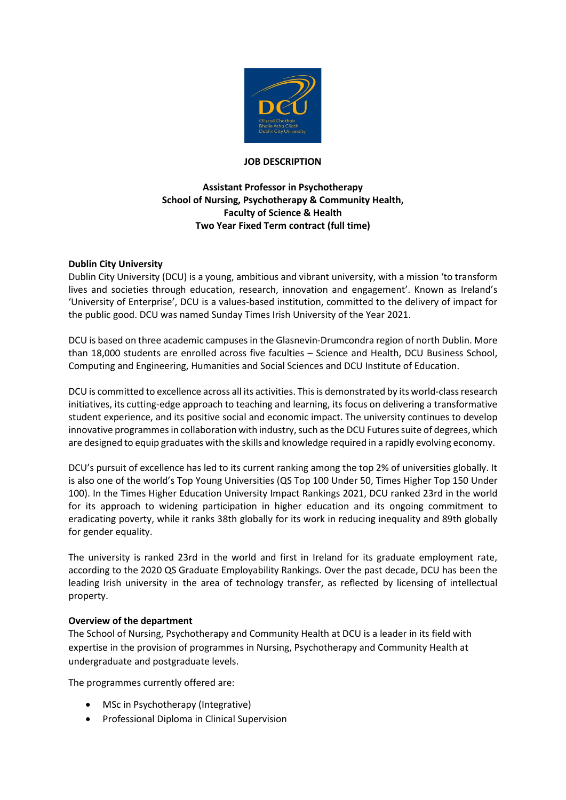

### **JOB DESCRIPTION**

# **Assistant Professor in Psychotherapy School of Nursing, Psychotherapy & Community Health, Faculty of Science & Health Two Year Fixed Term contract (full time)**

### **Dublin City University**

Dublin City University (DCU) is a young, ambitious and vibrant university, with a mission 'to transform lives and societies through education, research, innovation and engagement'. Known as Ireland's 'University of Enterprise', DCU is a values-based institution, committed to the delivery of impact for the public good. DCU was named Sunday Times Irish University of the Year 2021.

DCU is based on three academic campuses in the Glasnevin-Drumcondra region of north Dublin. More than 18,000 students are enrolled across five faculties – Science and Health, DCU Business School, Computing and Engineering, Humanities and Social Sciences and DCU Institute of Education.

DCU is committed to excellence across all its activities. This is demonstrated by its world-class research initiatives, its cutting-edge approach to teaching and learning, its focus on delivering a transformative student experience, and its positive social and economic impact. The university continues to develop innovative programmes in collaboration with industry, such as the DCU Futures suite of degrees, which are designed to equip graduates with the skills and knowledge required in a rapidly evolving economy.

DCU's pursuit of excellence has led to its current ranking among the top 2% of universities globally. It is also one of the world's Top Young Universities (QS Top 100 Under 50, Times Higher Top 150 Under 100). In the Times Higher Education University Impact Rankings 2021, DCU ranked 23rd in the world for its approach to widening participation in higher education and its ongoing commitment to eradicating poverty, while it ranks 38th globally for its work in reducing inequality and 89th globally for gender equality.

The university is ranked 23rd in the world and first in Ireland for its graduate employment rate, according to the 2020 QS Graduate Employability Rankings. Over the past decade, DCU has been the leading Irish university in the area of technology transfer, as reflected by licensing of intellectual property.

### **Overview of the department**

The School of Nursing, Psychotherapy and Community Health at DCU is a leader in its field with expertise in the provision of programmes in Nursing, Psychotherapy and Community Health at undergraduate and postgraduate levels.

The programmes currently offered are:

- MSc in Psychotherapy (Integrative)
- Professional Diploma in Clinical Supervision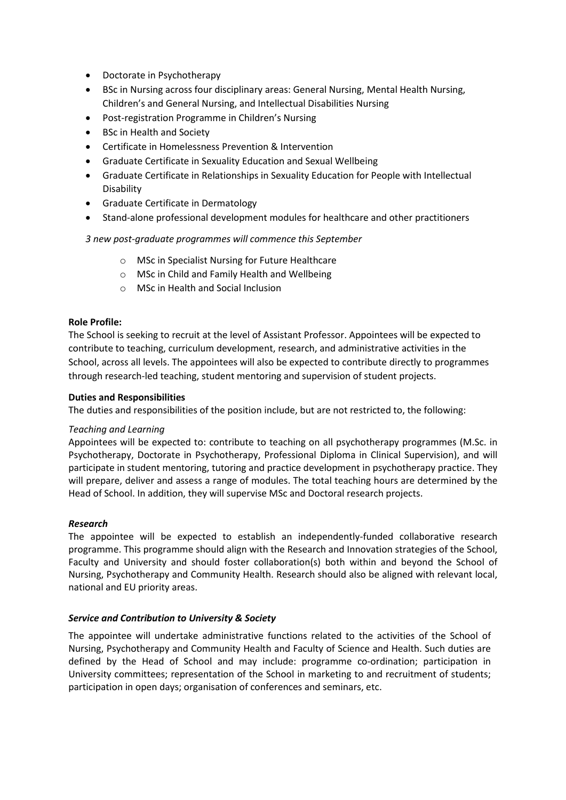- Doctorate in Psychotherapy
- BSc in Nursing across four disciplinary areas: General Nursing, Mental Health Nursing, Children's and General Nursing, and Intellectual Disabilities Nursing
- Post-registration Programme in Children's Nursing
- BSc in Health and Society
- Certificate in Homelessness Prevention & Intervention
- Graduate Certificate in Sexuality Education and Sexual Wellbeing
- Graduate Certificate in Relationships in Sexuality Education for People with Intellectual Disability
- Graduate Certificate in Dermatology
- Stand-alone professional development modules for healthcare and other practitioners

## *3 new post-graduate programmes will commence this September*

- o MSc in Specialist Nursing for Future Healthcare
- o MSc in Child and Family Health and Wellbeing
- o MSc in Health and Social Inclusion

## **Role Profile:**

The School is seeking to recruit at the level of Assistant Professor. Appointees will be expected to contribute to teaching, curriculum development, research, and administrative activities in the School, across all levels. The appointees will also be expected to contribute directly to programmes through research-led teaching, student mentoring and supervision of student projects.

## **Duties and Responsibilities**

The duties and responsibilities of the position include, but are not restricted to, the following:

### *Teaching and Learning*

Appointees will be expected to: contribute to teaching on all psychotherapy programmes (M.Sc. in Psychotherapy, Doctorate in Psychotherapy, Professional Diploma in Clinical Supervision), and will participate in student mentoring, tutoring and practice development in psychotherapy practice. They will prepare, deliver and assess a range of modules. The total teaching hours are determined by the Head of School. In addition, they will supervise MSc and Doctoral research projects.

### *Research*

The appointee will be expected to establish an independently-funded collaborative research programme. This programme should align with the Research and Innovation strategies of the School, Faculty and University and should foster collaboration(s) both within and beyond the School of Nursing, Psychotherapy and Community Health. Research should also be aligned with relevant local, national and EU priority areas.

## *Service and Contribution to University & Society*

The appointee will undertake administrative functions related to the activities of the School of Nursing, Psychotherapy and Community Health and Faculty of Science and Health. Such duties are defined by the Head of School and may include: programme co-ordination; participation in University committees; representation of the School in marketing to and recruitment of students; participation in open days; organisation of conferences and seminars, etc.